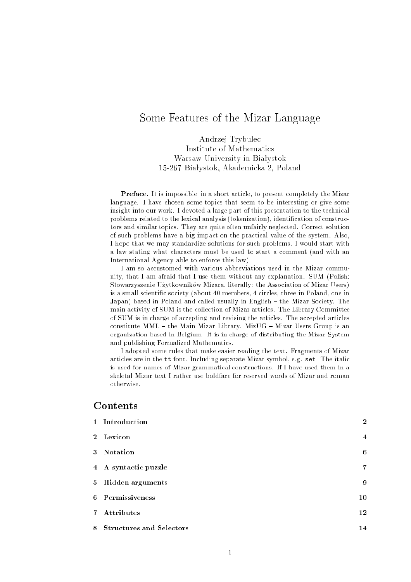# Some Features of the Mizar Language

Andrzej Trybulec Institute of Mathematics Warsaw University in Białystok 15-267 Bia lystok, Akademicka 2, Poland

Preface. It is impossible, in a short article, to present completely the Mizar language. I have chosen some topics that seem to be interesting or give some insight into our work. I devoted a large part of this presentation to the technical problems related to the lexical analysis (tokenization), identification of constructors and similar topics. They are quite often unfairly neglected. Correct solution of such problems have a big impact on the practical value of the system. Also, I hope that we may standardize solutions for such problems. I would start with a law stating what characters must be used to start a comment (and with an International Agency able to enforce this law).

I am so accustomed with various abbreviations used in the Mizar community, that I am afraid that I use them without any explanation. SUM (Polish: Stowarzyszenie Uzytkowników Mizara, literally: the Association of Mizar Users) is a small scientic society (about 40 members, 4 circles, three in Poland, one in Japan) based in Poland and called usually in English - the Mizar Society. The main activity of SUM is the collection of Mizar articles. The Library Committee of SUM is in charge of accepting and revising the articles. The accepted articles constitute MML  $-$  the Main Mizar Library. MizUG  $-$  Mizar Users Group is an organization based in Belgium. It is in charge of distributing the Mizar System and publishing Formalized Mathematics.

I adopted some rules that make easier reading the text. Fragments of Mizar articles are in the tt font. Including separate Mizar symbol, e.g. set. The italic is used for names of Mizar grammatical constructions. If I have used them in a

# Contents

| 1 Introduction             | $\overline{2}$          |
|----------------------------|-------------------------|
| 2 Lexicon                  | $\overline{\mathbf{4}}$ |
| 3 Notation                 | 6                       |
| 4 A syntactic puzzle       | $\overline{7}$          |
| 5 Hidden arguments         | 9                       |
| 6 Permissiveness           | 10                      |
| 7 Attributes               | 12                      |
| 8 Structures and Selectors | 14                      |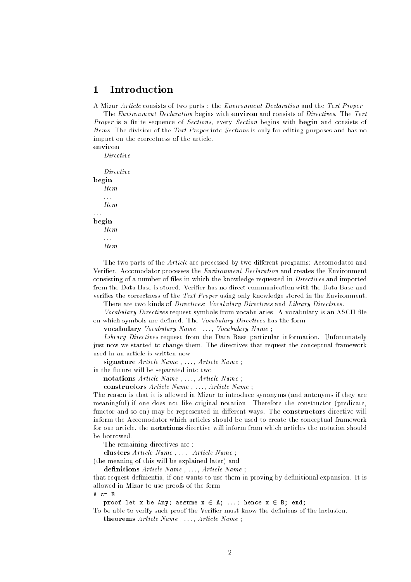#### **Introduction**  $\mathbf{1}$

A Mizar Article consists of two parts : the Environment Declaration and the Text Proper

The Environment Declaration begins with environ and consists of Directives. The Text Proper is a finite sequence of Sections, every Section begins with begin and consists of Items. The division of the Text Proper into Sections is only for editing purposes and has no impact on the correctness of the article. environ

Directive  $\mathbb{Z}$  and Directive begin Item : : : : : : begin  $Hem$ : : :

Item

The two parts of the Article are processed by two different programs: Accomodator and Verifier. Accomodator processes the *Environment Declaration* and creates the Environment consisting of a number of files in which the knowledge requested in *Directives* and imported from the Data Base is stored. Verifier has no direct communication with the Data Base and verifies the correctness of the Text Proper using only knowledge stored in the Environment.

There are two kinds of Directives: Vocabulary Directives and Library Directives.

Vocabulary Directives request symbols from vocabularies. A vocabulary is an ASCII file on which symbols are defined. The Vocabulary Directives has the form

vocabulary Vocabulary Name, ..., Vocabulary Name;

Library Directives request from the Data Base particular information. Unfortunately just now we started to change them. The directives that request the conceptual framework used in an article is written now

signature  $Article\ Name$ , ...,  $Article\ Name$ ;

in the future will be separated into two

notations  $Article\ Name$ , ...,  $Article\ Name$ ;

constructors  $Article\ Name$ , ...,  $Article\ Name$ ;

The reason is that it is allowed in Mizar to introduce synonyms (and antonyms if they are meaningful) if one does not like original notation. Therefore the constructor (predicate, functor and so on) may be represented in different ways. The constructors directive will inform the Accomodator which articles should be used to create the conceptual framework for our article, the notations directive will inform from which articles the notation should be borrowed.

The remaining directives are :

clusters Article Name, ..., Article Name;

(the meaning of this will be explained later) and

definitions  $Article\ Name$  , ...,  $Article\ Name$  ;

that request definientia, if one wants to use them in proving by definitional expansion. It is allowed in Mizar to use proofs of the form

 $A$   $c = B$ 

proof let x be Any; assume  $x \in A$ ; ...; hence  $x \in B$ ; end;

To be able to verify such proof the Verifier must know the definiens of the inclusion.

theorems  $Article\ Name$ , ...,  $Article\ Name$ ;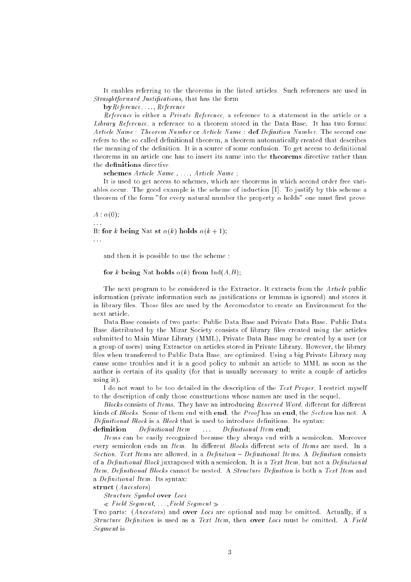It enables referring to the theorems in the listed articles. Such references are used in Straightforward Justifications, that has the form

 $\mathbf{by}$ *Reference*,  $\ldots$ , *Reference* 

Reference is either a Private Reference, a reference to a statement in the article or a Library Reference, a reference to a theorem stored in the Data Base. It has two forms: Article Name: Theorem Number or Article Name: def Definition Number. The second one refers to the so called definitional theorem, a theorem automatically created that describes the meaning of the definition. It is a source of some confusion. To get access to definitional theorems in an article one has to insert its name into the theorems directive rather than the definitions directive.

schemes  $Article Name$ , ...,  $Article Name$ ;

It is used to get access to schemes, which are theorems in which second order free variables occur. The good example is the scheme of induction [1]. To justify by this scheme a theorem of the form "for every natural number the property  $\alpha$  holds" one must first prove

### $A : \alpha(0);$

B: for k being Nat st  $\alpha(k)$  holds  $\alpha(k + 1)$ ;

and then it is possible to use the scheme :

for k being Nat holds  $\alpha(k)$  from Ind(A,B);

The next program to be considered is the Extractor. It extracts from the Article public information (private information such as justications or lemmas is ignored) and stores it in library files. Those files are used by the Accomodator to create an Environment for the next article.

Data Base consists of two parts: Public Data Base and Private Data Base. Public Data Base distributed by the Mizar Society consists of library files created using the articles submitted to Main Mizar Library (MML), Private Data Base may be created by a user (or a group of users) using Extractor on articles stored in Private Library. However, the library files when transferred to Public Data Base, are optimized. Using a big Private Library may cause some troubles and it is a good policy to submit an article to MML as soon as the author is certain of its quality (for that is usually necessary to write a couple of articles using it).

I do not want to be too detailed in the description of the Text Proper. I restrict myself to the description of only those constructions whose names are used in the sequel.

Blocks consists of Items. They have an introducing Reserved Word, different for different kinds of Blocks. Some of them end with end. the Proof has an end, the Section has not. A Definitional Block is a Block that is used to introduce definitions. Its syntax:

definition  $Definitional\ Item$   $\ldots$   $Definitional\ Item$ 

Items can be easily recognized because they always end with a semicolon. Moreover every semicolon ends an Item. In different Blocks different sets of Items are used. In a Section, Text Items are allowed, in a Definition  $-$  Definitional Items. A Definition consists of a Definitional Block juxtaposed with a semicolon. It is a Text Item, but not a Definitional Item, Definitional Blocks cannot be nested. A Structure Definition is both a Text Item and a Denitional Item. Its syntax:

## struct (Ancestors)

Structure Symbol over Loci

 $\ll$  Field Segment, ..., Field Segment  $\gg$ 

Two parts: *(Ancestors)* and **over** *Loci* are optional and may be omitted. Actually, if a Structure Definition is used as a Text Item, then over Loci must be omitted. A Field Segment is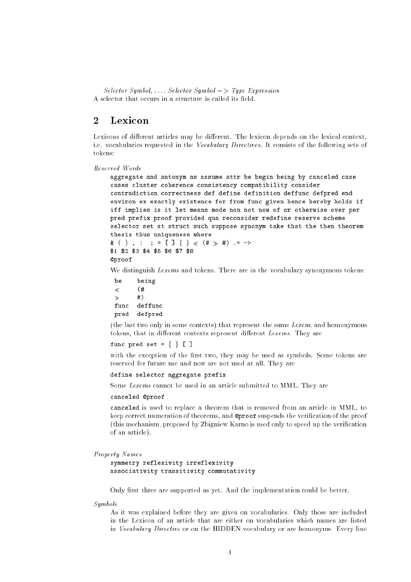$Selector Symbol, \ldots, Selector Symbol \longrightarrow Type Expression$ A selector that occurs in a structure is called its field.

#### Lexicon  $\overline{2}$

Lexicons of different articles may be different. The lexicon depends on the lexical context, i.e. vocabularies requested in the Vocabulary Directives. It consists of the following sets of tokens:

```
Reserved Words
```

```
aggregate and antonym as assume attr be begin being by canceled case
cases cluster coherence consistency compatibility consider
contradiction correctness def define definition deffunc defpred end
environ ex exactly existence for from func given hence hereby holds if
iff implies is it let means mode non not now of or otherwise over per
pred prefix proof provided qua reconsider redefine reserve scheme
selector set st struct such suppose synonym take that the then theorem
thesis thus uniqueness where
& ( ), : ; = [ ] \{ \} \{ \# \} \{ = ->
$1 $2 $3 $4 $5 $6 $7 $8
@proof
```
We distinguish *Lexems* and tokens. There are in the vocabulary synonymous tokens:

```
be being
\ll (#
        #)
\rightarrowfunc deffunc
pred defpred
```
(the last two only in some contexts) that represent the same Lexem, and homonymous tokens, that in different contexts represent different Lexems. They are

func pred set =  $\{ \}$  [ ]

with the exception of the first two, they may be used as symbols. Some tokens are reserved for future use and now are not used at all. They are

### define selector aggregate prefix

Some Lexems cannot be used in an article submitted to MML. They are

### canceled @proof

canceled is used to replace a theorem that is removed from an article in MML, to keep correct numeration of theorems, and @proof suspends the verication of the proof (this mechanism, proposed by Zbigniew Karno is used only to speed up the verication of an article).

```
Property Names
```
symmetry reflexivity irreflexivity associativity transitivity commutativity

Only first three are supported as yet. And the implementation could be better.

Symbols

As it was explained before they are given on vocabularies. Only those are included in the Lexicon of an article that are either on vocabularies which names are listed in Vocabulary Directive or on the HIDDEN vocabulary or are homonyms. Every line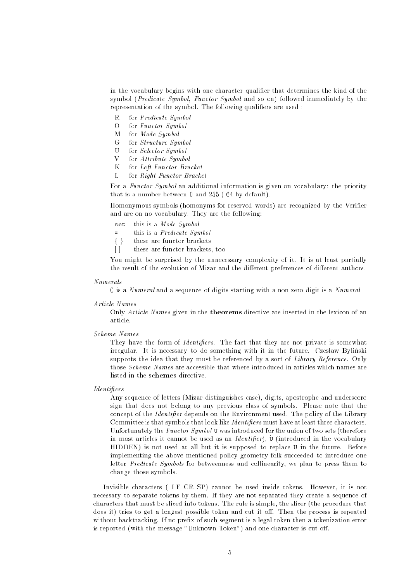in the vocabulary begins with one character qualier that determines the kind of the symbol (Predicate Symbol, Functor Symbol and so on) followed immediately by the representation of the symbol. The following qualifiers are used :

- R for Predicate Symbol
- O for Functor Symbol
- M for Mode Symbol
- $\overline{G}$ for Structure Symbol
- $\mathbf{U}$ for Selector Symbol
- V for Attribute Symbol
- K for Left Functor Bracket
- L for Right Functor Bracket

For a *Functor Symbol* an additional information is given on vocabulary: the priority that is a number between 0 and 255 ( 64 by default).

Homonymous symbols (homonyms for reserved words) are recognized by the Verier and are on no vocabulary. They are the following:

- set this is a  $Mode\; Symbol$
- this is a  $Predicate \; Symbol$  $=$
- $\{\}$ these are functor brackets
- [] these are functor brackets, too

You might be surprised by the unnecessary complexity of it. It is at least partially the result of the evolution of Mizar and the different preferences of different authors.

### Numerals

0 is a Numeral and a sequence of digits starting with a non zero digit is a Numeral

### Article Names

Only Article Names given in the theorems directive are inserted in the lexicon of an article.

### Scheme Names

They have the form of *Identifiers*. The fact that they are not private is somewhat irregular. It is necessary to do something with it in the future. Czesław Byliński supports the idea that they must be referenced by a sort of Library Reference. Only those Scheme Names are accessible that where introduced in articles which names are listed in the schemes directive

### Identiers

Any sequence of letters (Mizar distinguishes case), digits, apostrophe and underscore sign that does not belong to any previous class of symbols. Please note that the concept of the *Identifier* depends on the Environment used. The policy of the Library Committee is that symbols that look like *Identifiers* must have at least three characters. Unfortunately the *Functor Symbol* U was introduced for the union of two sets (therefore in most articles it cannot be used as an *Identifier*),  $\ddot{v}$  (introduced in the vocabulary HIDDEN) is not used at all but it is supposed to replace U in the future. Before implementing the above mentioned policy geometry folk succeeded to introduce one letter Predicate Symbols for betweenness and collinearity, we plan to press them to change those symbols.

Invisible characters ( LF CR SP) cannot be used inside tokens. However, it is not necessary to separate tokens by them. If they are not separated they create a sequence of characters that must be sliced into tokens. The rule is simple, the slicer (the procedure that does it) tries to get a longest possible token and cut it off. Then the process is repeated without backtracking. If no prefix of such segment is a legal token then a tokenization error is reported (with the message "Unknown Token") and one character is cut off.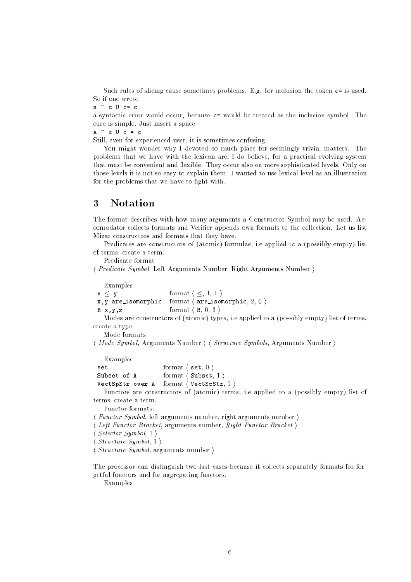Such rules of slicing cause sometimes problems. E.g. for inclusion the token c= is used. So if one wrote

 $a \cap c$  U  $c = c$ 

a syntactic error would occur, because c= would be treated as the inclusion symbol. The cure is simple. Just insert a space

 $a \cap c \cup c = c$ 

Still, even for experienced user, it is sometimes confusing.

You might wonder why I devoted so much place for seemingly trivial matters. The problems that we have with the lexicon are, I do believe, for a practical evolving system that must be convenient and flexible. They occur also on more sophisticated levels. Only on those levels it is not so easy to explain them. I wanted to use lexical level as an illustration for the problems that we have to fight with.

## 3

The format describes with how many arguments a Constructor Symbol may be used. Accomodator collects formats and Verifier appends own formats to the collection. Let us list Mizar constructors and formats that they have.

Predicates are constructors of (atomic) formulae, i.e applied to a (possibly empty) list of terms, create a term.

Predicate format

h Predicate Symbol, Left Arguments Number, Right Arguments Number <sup>i</sup>

Examples

 $x \leq y$  format  $\langle \leq, 1, 1 \rangle$ x, y are isomorphic format  $\langle$  are isomorphic, 2, 0  $\rangle$  $B \times, y, z$  format  $\langle B, 0, 3 \rangle$ 

Modes are constructors of (atomic) types, i.e applied to a (possibly empty) list of terms, create a type.

Mode formats

h Mode Symbol, Arguments Number i h Structure Symbols, Arguments Number <sup>i</sup>

Examples

```
format \langle set, 0 \rangleset
Subset of A format \langle Subset, 1 \rangleVectSpStr over A format \langle VectSpStr, 1 \rangle
```
Functors are constructors of (atomic) terms, i.e applied to a (possibly empty) list of terms, create a term. terms, create a term.

Functor formats:

- hFunctor Symbol, left arguments number, right arguments number  $\rangle$
- hLeft Functor Bracket, arguments number, Right Functor Bracket)
- h $Selector \; Symbol, 1)$

h $Structure\ Symbol, 1)$ 

h $Structure\ Symbol, arguments number \rangle$ 

The processor can distinguish two last cases because it collects separately formats for forgetful functors and for aggregating functors.

Examples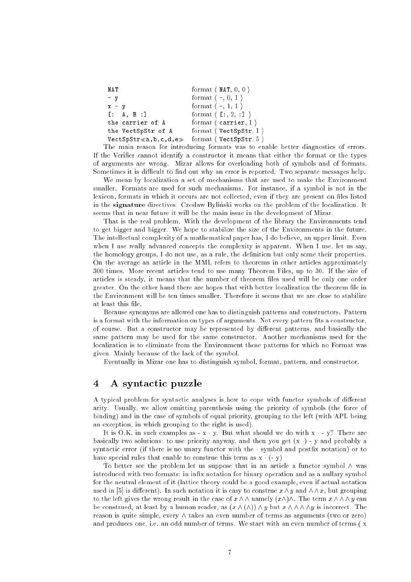| NAT                                                | format $\langle$ NAT, 0, 0 $\rangle$    |
|----------------------------------------------------|-----------------------------------------|
| $-$ v                                              | format $\langle -, 0, 1 \rangle$        |
| $x - y$                                            | format $\langle -, 1, 1 \rangle$        |
| [ : A, B : ]                                       | format $\langle$ [:, 2, :] $\rangle$    |
| the carrier of A                                   | format $\langle$ carrier, 1 $\rangle$   |
| the VectSpStr of A                                 | format $\langle$ VectSpStr, 1 $\rangle$ |
| $\verb VectSpStr  \leqslant a,b,c,d,e_{\geqslant}$ | format $\langle$ VectSpStr, 5 $\rangle$ |

The main reason for introducing formats was to enable better diagnostics of errors. If the Verifier cannot identify a constructor it means that either the format or the types of arguments are wrong. Mizar allows for overloading both of symbols and of formats. Sometimes it is difficult to find out why an error is reported. Two separate messages help.

We mean by localization a set of mechanisms that are used to make the Environment smaller. Formats are used for such mechanisms. For instance, if a symbol is not in the lexicon, formats in which it occurs are not collected, even if they are present on files listed in the **signature** directives. Czesław Byliński works on the problem of the localization. It seems that in near future it will be the main issue in the development of Mizar.

That is the real problem. With the development of the library the Environments tend to get bigger and bigger. We hope to stabilize the size of the Environments in the future. The intellectual complexity of a mathematical paper has, I do believe, an upper limit. Even when I use really advanced concepts the complexity is apparent. When I use, let us say, the homology groups, I do not use, as a rule, the definition but only some their properties. On the average an article in the MML refers to theorems in other articles approximately 300 times. More recent articles tend to use many Theorem Files, up to 30. If the size of articles is steady, it means that the number of theorem files used will be only one order greater. On the other hand there are hopes that with better localization the theorem file in the Environment will be ten times smaller. Therefore it seems that we are close to stabilize at least this file.

Because synonyms are allowed one has to distinguish patterns and constructors. Pattern is a format with the information on types of arguments. Not every pattern fits a constructor, of course. But a constructor may be represented by different patterns, and basically the same pattern may be used for the same constructor. Another mechanisms used for the localization is to eliminate from the Environment those patterns for which no Format was given. Mainly because of the lack of the symbol.

Eventually in Mizar one has to distinguish symbol, format, pattern, and constructor.

## 4 A syntactic puzzle

A typical problem for syntactic analyses is how to cope with functor symbols of different arity. Usually, we allow omitting parenthesis using the priority of symbols (the force of binding) and in the case of symbols of equal priority, grouping to the left (with APL being an exception, in which grouping to the right is used).

It is O.K. in such examples as  $- x \cdot y$ . But what should we do with  $x \cdot - y$ ? There are basically two solutions: to use priority anyway, and then you get  $(x \cdot)$  - y and probably a syntactic error (if there is no unary functor with the  $\cdot$  symbol and postfix notation) or to have special rules that enable to construe this term as  $x \cdot (-y)$ 

To better see the problem let us suppose that in an article a functor symbol  $\wedge$  was introduced with two formats: in infix notation for binary operation and as a nullary symbol for the neutral element of it (lattice theory could be a good example, even if actual notation used in [5] is different). In such notation it is easy to construe  $x \wedge y$  and  $\wedge \wedge x$ , but grouping to the left gives the wrong result in the case of  $x \wedge \wedge$  namely  $(x \wedge) \wedge$ . The term  $x \wedge \wedge \wedge y$  can be construed, at least by a human reader, as  $(x \wedge (\wedge)) \wedge y$  but  $x \wedge \wedge \wedge \wedge y$  is incorrect. The reason is quite simple, every  $\wedge$  takes an even number of terms as arguments (two or zero) and produces one, i.e. an odd number of terms. We start with an even number of terms (x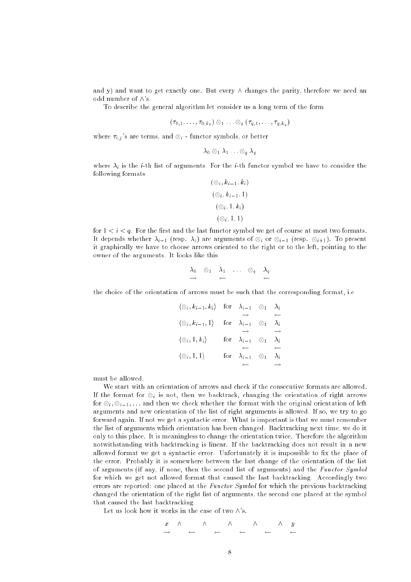and y) and want to get exactly one. But every  $\wedge$  changes the parity, therefore we need an odd number of  $\wedge$ 's.

To describe the general algorithm let consider us a long term of the form

$$
(\tau_{0,1},\ldots,\tau_{0,k_0})\otimes_1\ldots\otimes_q(\tau_{q,1},\ldots,\tau_{q,k_q})
$$

where  $\tau_{i,j}$ 's are terms, and  $\otimes_i$  - functor symbols, or better

$$
\lambda_0\otimes_1\lambda_1\ldots\otimes_q\lambda_q
$$

where  $\lambda_i$  is the *i*-th list of arguments. For the *i*-th functor symbol we have to consider the following formats

$$
(\otimes_i, k_{i-1}, k_i)
$$
  
\n
$$
(\otimes_i, k_{i-1}, 1)
$$
  
\n
$$
(\otimes_i, 1, k_i)
$$
  
\n
$$
(\otimes_i, 1, 1)
$$

for  $1 < i < q$ . For the first and the last functor symbol we get of course at most two formats. it depends whether in the property in the arguments of  $\alpha$  is or  $\alpha$  in the present of  $\alpha$ it graphically we have to choose arrows oriented to the right or to the left, pointing to the owner of the arguments. It looks like this

$$
\begin{array}{ccccccccc}\n\lambda_0 & \otimes_1 & \lambda_1 & \dots & \otimes_q & \lambda_q \\
\rightarrow & & \leftarrow & & & \leftarrow & & & \n\end{array}
$$

the choice of the orientation of arrows must be such that the corresponding format, i.e

$$
\langle \otimes i, k_{i-1}, k_i \rangle \quad \text{for} \quad \lambda_{i-1} \quad \otimes_1 \quad \lambda_i
$$
  
\n
$$
\langle \otimes i, k_{i-1}, 1 \rangle \quad \text{for} \quad \lambda_{i-1} \quad \otimes_1 \quad \lambda_i
$$
  
\n
$$
\langle \otimes i, 1, k_i \rangle \quad \text{for} \quad \lambda_{i-1} \quad \otimes_1 \quad \lambda_i
$$
  
\n
$$
\langle \otimes i, 1, k_i \rangle \quad \text{for} \quad \lambda_{i-1} \quad \otimes_1 \quad \lambda_i
$$
  
\n
$$
\langle \otimes i, 1, 1 \rangle \quad \text{for} \quad \lambda_{i-1} \quad \otimes_1 \quad \lambda_i
$$

must be allowed.

We start with an orientation of arrows and check if the consecutive formats are allowed. If the format for <sup>i</sup> is not, then we backtrack, changing the orientation of right arrows for  $\cup$   $_{i}$  ;  $\cup$   $_{i-1}$  ;  $\cdots$  and  $\cdots$  check with the formation of  $\cdots$  and  $\cdots$  or  $\cdots$  . Then  $\cdots$ arguments and new orientation of the list of right arguments is allowed. If so, we try to go forward again. If not we get a syntactic error. What is important is that we must remember the list of arguments which orientation has been changed. Backtracking next time, we do it only to this place. It is meaningless to change the orientation twice. Therefore the algorithm notwithstanding with backtracking is linear. If the backtracking does not result in a new allowed format we get a syntactic error. Unfortunately it is impossible to fix the place of the error. Probably it is somewhere between the last change of the orientation of the list of arguments (if any, if none, then the second list of arguments) and the Functor Symbol for which we get not allowed format that caused the last backtracking. Accordingly two errors are reported: one placed at the *Functor Symbol* for which the previous backtracking changed the orientation of the right list of arguments, the second one placed at the symbol that caused the last backtracking.

Let us look how it works in the case of two  $\wedge$ 's.

$$
\begin{array}{cccccccccccc}\nx & \wedge & \wedge & \wedge & \wedge & \wedge & \wedge & y \\
\hline\n\end{array}
$$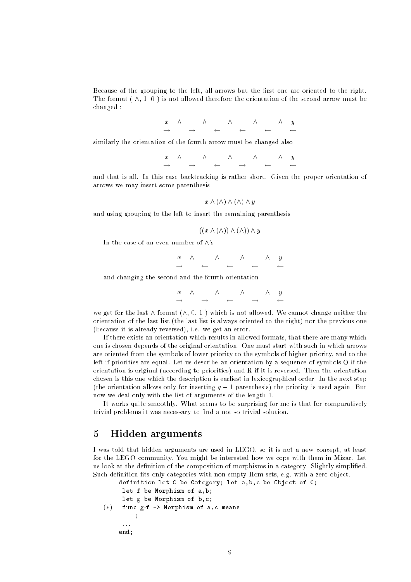Because of the grouping to the left, all arrows but the first one are oriented to the right. The format  $(\wedge, 1, 0)$  is not allowed therefore the orientation of the second arrow must be changed :

|  | $x \wedge \wedge \wedge \wedge \wedge \wedge \wedge y$ |  |  |  |  |
|--|--------------------------------------------------------|--|--|--|--|
|  |                                                        |  |  |  |  |

similarly the orientation of the fourth arrow must be changed also

 $\begin{array}{ccccccc}\nx & \wedge & & \wedge & & \wedge & & \wedge & & \wedge & & \wedge & y \\
\hline\n\end{array}$ 

and that is all. In this case backtracking is rather short. Given the proper orientation of arrows we may insert some parenthesis

$$
x \wedge (\wedge) \wedge (\wedge) \wedge y
$$

and using grouping to the left to insert the remaining parenthesis

$$
((x \wedge (\wedge)) \wedge (\wedge)) \wedge y
$$

In the case of an even number of  $\wedge$ 's

$$
\begin{array}{cccccccc}\nx & \wedge & \wedge & \wedge & \wedge & \wedge & y \\
\end{array}
$$

and changing the second and the fourth orientation

x ^ ^ ^ ^ y

we get for the last  $\wedge$  format  $(\wedge, 0, 1)$  which is not allowed. We cannot change neither the orientation of the last list (the last list is always oriented to the right) nor the previous one (because it is already reversed), i.e. we get an error.

If there exists an orientation which results in allowed formats, that there are many which one is chosen depends of the original orientation. One must start with such in which arrows are oriented from the symbols of lower priority to the symbols of higher priority, and to the left if priorities are equal. Let us describe an orientation by a sequence of symbols O if the orientation is original (according to priorities) and R if it is reversed. Then the orientation chosen is this one which the description is earliest in lexicographical order. In the next step (the orientation allows only for inserting  $q-1$  parenthesis) the priority is used again. But now we deal only with the list of arguments of the length 1.

It works quite smoothly. What seems to be surprising for me is that for comparatively trivial problems it was necessary to find a not so trivial solution.

## 5 Hidden arguments

I was told that hidden arguments are used in LEGO, so it is not a new concept, at least for the LEGO community. You might be interested how we cope with them in Mizar. Let us look at the definition of the composition of morphisms in a category. Slightly simplified. Such definition fits only categories with non-empty Hom-sets, e.g. with a zero object.

```
f \colon I \to I - and a set and a morphism of a morphism of a set \mathcal{A}definition let C be Category; let a,b,c be Object of C;
      let f be Morphism of a,b;
      let g be Morphism of b,c;
       : : : ;
      \cdot : \cdot :
     end;
```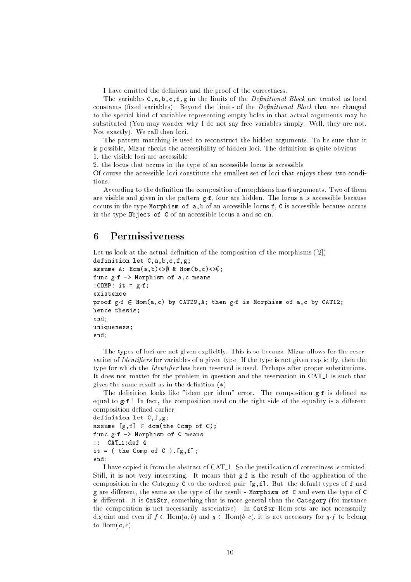I have omitted the definiens and the proof of the correctness.

The variables  $C, a, b, c, f, g$  in the limits of the *Definitional Block* are treated as local constants (fixed variables). Beyond the limits of the  $Definitional Block$  that are changed to the special kind of variables representing empty holes in that actual arguments may be substituted (You may wonder why I do not say free variables simply. Well, they are not. Not exactly). We call then loci.

The pattern matching is used to reconstruct the hidden arguments. To be sure that it is possible. Mizar checks the accessibility of hidden loci. The definition is quite obvious 1. the visible loci are accessible

2. the locus that occurs in the type of an accessible locus is accessible

Of course the accessible loci constitute the smallest set of loci that enjoys these two conditions.

According to the definition the composition of morphisms has 6 arguments. Two of them are visible and given in the pattern  $g.f.$  four are hidden. The locus a is accessible because occurs in the type Morphism of a,b of an accessible locus f, C is accessible because occurs in the type Object of C of an accessible locus a and so on.

#### **Permissiveness** 6

```
Let us look at the actual definition of the composition of the morphisms ([2]).
definition let C,a,b,c,f,g;
assume A: Hom(a,b) <> \emptyset & Hom(b,c) <> \emptyset;
func g f \rightarrow Morphism of a,c means
:COMP: it = g f;
existence
proof g \cdot f \in Hom(a,c) by CAT29, A; then gf is Morphism of a,c by CAT12;
hence thesis;
end;
uniqueness;
end;
```
The types of loci are not given explicitly. This is so because Mizar allows for the reservation of Identifiers for variables of a given type. If the type is not given explicitly, then the type for which the *Identifier* has been reserved is used. Perhaps after proper substitutions. It does not matter for the problem in question and the reservation in CAT<sub>-1</sub> is such that gives the same result as in the definition  $(*)$ 

The definition looks like "idem per idem" error. The composition  $g \cdot f$  is defined as equal to  $g.f$  ! In fact, the composition used on the right side of the equality is a different composition defined earlier:

```
definition let C,f,g;
assume [g, f] \in \text{dom}(\text{the Comp of C});func gf -> Morphism of C means
:: CAT 1:def 4
it = ( the Comp of C ). [g,f];
end:
```
end; and the contract of the contract of the contract of the contract of the contract of the contract of the contract of the contract of the contract of the contract of the contract of the contract of the contract of the c

I have copied it from the abstract of CAT 1. So the justication of correctness is omitted. Still, it is not very interesting. It means that  $g \cdot f$  is the result of the application of the composition in the Category C to the ordered pair  $[g, f]$ . But, the default types of f and g are different, the same as the type of the result - Morphism of C and even the type of C is different. It is  $C^{i}$  CatStr, something that is more general than the  $C^{i}$  Category (for instance the composition is not necessarily associative). In CatStr Hom-sets are not necessarily disjoint and even if  $f \in \text{Hom}(a, b)$  and  $g \in \text{Hom}(b, c)$ , it is not necessary for gf to belong to  $\text{Hom}(a, c)$ .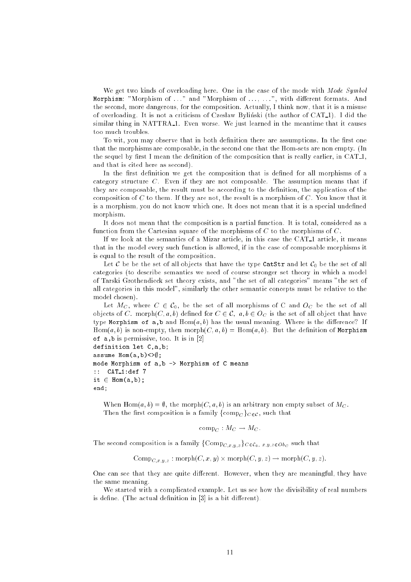We get two kinds of overloading here. One in the case of the mode with Mode Symbol Morphism: "Morphism of ..." and "Morphism of ..., ...", with different formats. And the second, more dangerous, for the composition. Actually, I think now, that it is a misuse of overloading. It is not a criticism of Czesław Byliński (the author of CAT<sub>1</sub>). I did the similar thing in NATTRA<sub>-1</sub>. Even worse. We just learned in the meantime that it causes too much troubles.

To wit, you may observe that in both definition there are assumptions. In the first one that the morphisms are composable, in the second one that the Hom-sets are non empty. (In the sequel by first I mean the definition of the composition that is really earlier, in CAT<sub>1</sub>, and that is cited here as second).

In the first definition we get the composition that is defined for all morphisms of a category structure  $C$ . Even if they are not composable. The assumption means that if they are composable, the result must be according to the definition, the application of the composition of  $C$  to them. If they are not, the result is a morphism of  $C$ . You know that it is a morphism, you do not know which one. It does not mean that it is a special undefined morphism.

It does not mean that the composition is a partial function. It is total, considered as a function from the Cartesian square of the morphisms of  $C$  to the morphisms of  $C$ .

If we look at the semantics of a Mizar article, in this case the CAT 1 article, it means that in the model every such function is allowed, if in the case of composable morphisms it is equal to the result of the composition.

Let C be be the set of all objects that have the type CatStr and let  $C_0$  be the set of all categories (to describe semantics we need of course stronger set theory in which a model of Tarski Grothendieck set theory exists, and "the set of all categories" means "the set of all categories in this model", similarly the other semantic concepts must be relative to the model chosen).

Let  $M_C$ , where  $C \in \mathcal{C}_0$ , be the set of all morphisms of C and  $O_C$  be the set of all objects of C. morph $(C, a, b)$  defined for  $C \in \mathcal{C}$ ,  $a, b \in O_C$  is the set of all object that have type Morphism of a,b and  $Hom(a, b)$  has the usual meaning. Where is the difference? If  $Hom(a, b)$  is non-empty, then morph $(C, a, b) = Hom(a, b)$ . But the definition of Morphism of a,b is permissive, too. It is in [2]

```
definition let C,a,b;
assume Hom(a, b) <>\emptyset;
mode Morphism of a,b -> Morphism of C means
:: CAT 1:def 7
it \in Hom(a,b);
end;
```
When Hom(a, b) =  $\emptyset$ , the morph(C, a, b) is an arbitrary non empty subset of  $M_C$ . Then the first composition is a family  $\{\text{comp}_C\}_{C \in \mathcal{C}}$ , such that

$$
\mathrm{comp}_C: M_C \to M_C.
$$

The second composition is a family  $\{Comp_{C,x,y,z}\}_{C \in \mathcal{C}_0, x,y,z \in Ob_C}$  such that

 $C\subset\mathbf{C}\subset\mathbf{C}$ ;  $x,y,z$  . morphone  $\mathbf{C}\subset\mathbf{C}\subset\mathbf{C}$  ,  $\mathbf{C}\subset\mathbf{C}\subset\mathbf{C}$  ,  $\mathbf{C}\subset\mathbf{C}\subset\mathbf{C}$ 

One can see that they are quite different. However, when they are meaningful, they have the same meaning.

We started with a complicated example. Let us see how the divisibility of real numbers is define. (The actual definition in  $[3]$  is a bit different).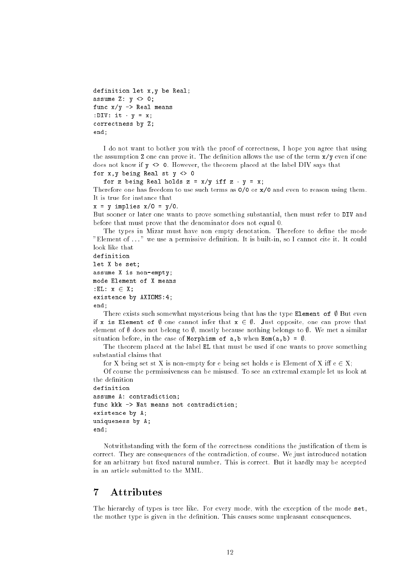```
definition let x,y be Real;
assume Z: y \Leftrightarrow 0;func x/y \rightarrow Real means
:DIV: it y = x;
correctness by Z;
end;
```
I do not want to bother you with the proof of correctness, I hope you agree that using the assumption  $Z$  one can prove it. The definition allows the use of the term  $x/y$  even if one does not know if y <> 0. However, the theorem placed at the label DIV says that for  $x, y$  being Real st  $y \leq 0$ 

```
for z being Real holds z = x/y iff z \cdot y = x;
```
Therefore one has freedom to use such terms as  $0/0$  or  $x/0$  and even to reason using them. It is true for instance that

```
x = y implies x/0 = y/0.
```
But sooner or later one wants to prove something substantial, then must refer to DIV and before that must prove that the denominator does not equal 0.

The types in Mizar must have non empty denotation. Therefore to define the mode "Element of ..." we use a permissive definition. It is built-in, so I cannot cite it. It could look like that

```
definition
let X be set;
assume X is non-empty;
mode Element of X means
: EL: x \in X;
existence by AXIOMS:4;
end;
```
There exists such somewhat mysterious being that has the type Element of  $\emptyset$  But even if x is Element of  $\emptyset$  one cannot infer that  $x \in \emptyset$ . Just opposite, one can prove that element of  $\emptyset$  does not belong to  $\emptyset$ , mostly because nothing belongs to  $\emptyset$ . We met a similar situation before, in the case of Morphism of a,b when  $Hom(a, b) = \emptyset$ .

The theorem placed at the label EL that must be used if one wants to prove something substantial claims that

for X being set st X is non-empty for e being set holds e is Element of X iff  $e \in X$ ;

Of course the permissiveness can be misused. To see an extremal example let us look at the definition

```
definition
assume A: contradiction;
func kkk \rightarrow Nat means not contradiction;
existence by A;
uniqueness by A;
end:end;
```
Notwithstanding with the form of the correctness conditions the justication of them is correct. They are consequences of the contradiction, of course. We just introduced notation for an arbitrary but fixed natural number. This is correct. But it hardly may be accepted in an article submitted to the MML.

# $\overline{7}$

The hierarchy of types is tree like. For every mode, with the exception of the mode set, the mother type is given in the definition. This causes some unpleasant consequences.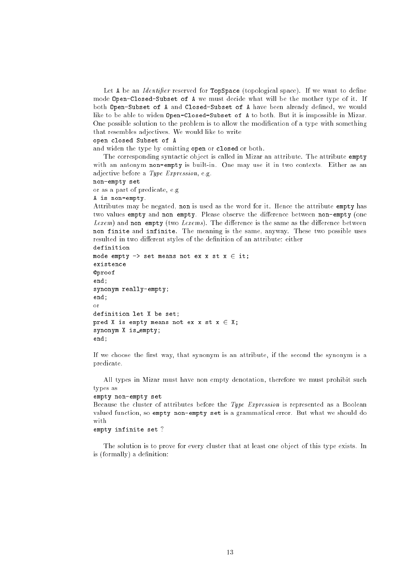Let A be an *Identifier* reserved for **TopSpace** (topological space). If we want to define mode Open-Closed-Subset of A we must decide what will be the mother type of it. If both Open-Subset of A and Closed-Subset of A have been already defined, we would like to be able to widen Open-Closed-Subset of A to both. But it is impossible in Mizar. One possible solution to the problem is to allow the modication of a type with something that resembles adjectives. We would like to write

open closed Subset of A

and widen the type by omitting open or closed or both.

The corresponding syntactic object is called in Mizar an attribute. The attribute empty with an antonym non-empty is built-in. One may use it in two contexts. Either as an adjective before a Type Expression, e.g.

non-empty set

or as a part of predicate, e.g

### A is non-empty.

Attributes may be negated, non is used as the word for it. Hence the attribute empty has two values empty and non empty. Please observe the difference between non-empty (one  $Lexem$ ) and non empty (two  $Lexems$ ). The difference is the same as the difference between non finite and infinite. The meaning is the same, anyway. These two possible uses resulted in two different styles of the definition of an attribute: either

```
definition
```

```
mode empty \rightarrow set means not ex x st x \in it;
existence
@proof
end;
synonym really-empty;
end;
\alphar
definition let X be set;
pred X is empty means not ex x st x \in X;
synonym X is empty;
end.
end;
```
If we choose the first way, that synonym is an attribute, if the second the synonym is a predicate.

All types in Mizar must have non empty denotation, therefore we must prohibit such types as

### empty non-empty set

Because the cluster of attributes before the Type Expression is represented as a Boolean valued function, so empty non-empty set is a grammatical error. But what we should do with

### empty infinite set ?

The solution is to prove for every cluster that at least one object of this type exists. In is (formally) a definition: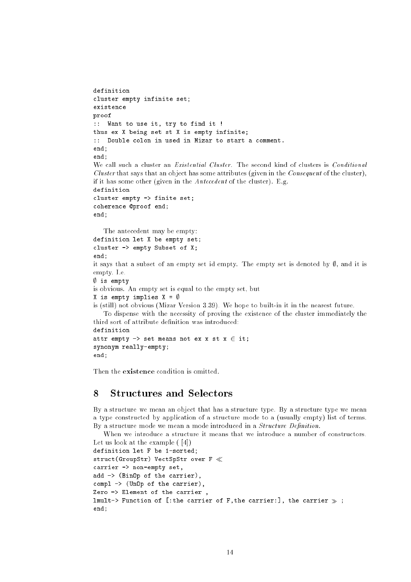```
definition
cluster empty infinite set;
existence
proof
:: Want to use it, try to find it !
thus ex X being set st X is empty infinite;
:: Double colon in used in Mizar to start a comment.
end;
end;
We call such a cluster an Existential Cluster. The second kind of clusters is Conditional
Cluster that says that an object has some attributes (given in the Consequent of the cluster),
if it has some other (given in the Antecedent of the cluster). E.g.
definition
cluster empty -> finite set;
coherence @proof end;
end;
   The antecedent may be empty:
definition let X be empty set;
cluster -> empty Subset of X;
end;
it says that a subset of an empty set id empty. The empty set is denoted by \emptyset, and it is
empty. I.e.
\sim is extended to the set of the set of the set of the set of the set of the set of the set of the set of the set of the set of the set of the set of the set of the set of the set of the set of the set of the set of the
is obvious. An empty set is equal to the empty set, but
X is empty implies X = \emptysetis (still) not obvious (Mizar Version 3.39). We hope to built-in it in the nearest future.
    To dispense with the necessity of proving the existence of the cluster immediately the
third sort of attribute definition was introduced:
definition
attr empty \rightarrow set means not ex x st x \in it;
synonym really-empty;
end;
```
Then the **existence** condition is omitted.

#### 8 Structures and Selectors 8

By a structure we mean an object that has a structure type. By a structure type we mean a type constructed by application of a structure mode to a (usually empty) list of terms. By a structure mode we mean a mode introduced in a *Structure Definition*.

```
When we introduce a structure it means that we introduce a number of constructors.
Let us look at the example ( [4])
```

```
definition let F be 1-sorted;
struct(GroupStr) VectSpStr over F \llcarrier -> non-empty set,
add -> (BinOp of the carrier),
compl -> (UnOp of the carrier),
Zero -> Element of the carrier ,
lmult-> Function of [:the carrier of F,the carrier:], the carrier \gg ;
end;
```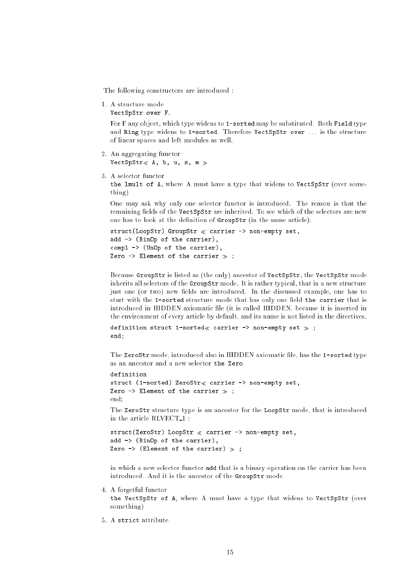The following constructors are introduced :

1. A structure mode

VectSpStr over F.

For F any object, which type widens to 1-sorted may be substituted. Both Field type and Ring type widens to 1-sorted. Therefore VectSpStr over ... is the structure of linear spaces and left modules as well.

- 2. An aggregating functor VectSpStr $\ll$  A, b, u, z, m  $\gg$
- 3. A selector functor

the lmult of A, where A must have a type that widens to VectSpStr (over something)

One may ask why only one selector functor is introduced. The reason is that the remaining fields of the VectSpStr are inherited. To see which of the selectors are new one has to look at the definition of GroupStr (in the same article).

```
struct(LoopStr) GroupStr \ll carrier -> non-empty set,
add -> (BinOp of the carrier),
compl -> (UnOp of the carrier),
Zero \rightarrow Element of the carrier \gg;
```
Because GroupStr is listed as (the only) ancestor of VectSpStr, the VectSpStr mode inherits all selectors of the GroupStr mode. It is rather typical, that in a new structure just one (or two) new fields are introduced. In the discussed example, one has to start with the 1-sorted structure mode that has only one field the carrier that is introduced in HIDDEN axiomatic file (it is called HIDDEN, because it is inserted in the environment of every article by default, and its name is not listed in the directives.

```
definition struct 1-sorted \ll carrier -> non-empty set \gg;
end;
```
The ZeroStr mode, introduced also in HIDDEN axiomatic file, has the 1-sorted type as an ancestor and a new selector the Zero.

```
definition
struct (1-sorted) ZeroStr« carrier \rightarrow non-empty set,
Zero \rightarrow Element of the carrier \gg;
endend and the control of the control of the control of the control of
```
The ZeroStr structure type is an ancestor for the LoopStr mode, that is introduced in the article RLVECT 1 :

```
struct(ZeroStr) LoopStr \ll carrier -> non-empty set,
add \rightarrow (BinOp of the carrier),
Zero \rightarrow (Element of the carrier) \gg;
```
in which a new selector functor add that is a binary operation on the carrier has been introduced. And it is the ancestor of the GroupStr mode.

4. A forgetful functor

the VectSpStr of A, where A must have a type that widens to VectSpStr (over something)

5. A strict attribute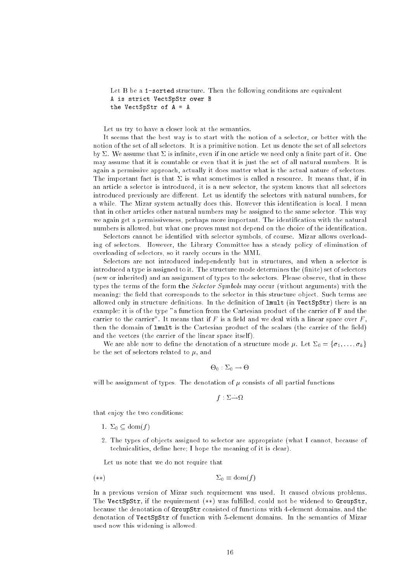Let B be a 1-sorted structure. Then the following conditions are equivalent A is strict VectSpStr over B the VectSpStr of A = A

Let us try to have a closer look at the semantics.

It seems that the best way is to start with the notion of a selector, or better with the notion of the set of all selectors. It is a primitive notion. Let us denote the set of all selectors by  $\Sigma$ . We assume that  $\Sigma$  is infinite, even if in one article we need only a finite part of it. One may assume that it is countable or even that it is just the set of all natural numbers. It is again a permissive approach, actually it does matter what is the actual nature of selectors. The important fact is that  $\Sigma$  is what sometimes is called a resource. It means that, if in an article a selector is introduced, it is a new selector, the system knows that all selectors introduced previously are different. Let us identify the selectors with natural numbers, for a while. The Mizar system actually does this. However this identication is local. I mean that in other articles other natural numbers may be assigned to the same selector. This way we again get a permissiveness, perhaps more important. The identification with the natural numbers is allowed, but what one proves must not depend on the choice of the identification.

Selectors cannot be identied with selector symbols, of course. Mizar allows overloading of selectors. However, the Library Committee has a steady policy of elimination of overloading of selectors, so it rarely occurs in the MML.

Selectors are not introduced independently but in structures, and when a selector is introduced a type is assigned to it. The structure mode determines the (finite) set of selectors (new or inherited) and an assignment of types to the selectors. Please observe, that in these types the terms of the form the Selector Symbols may occur (without arguments) with the meaning: the field that corresponds to the selector in this structure object. Such terms are allowed only in structure definitions. In the definition of  $\texttt{lmult}$  (in VectSpStr) there is an example: it is of the type "a function from the Cartesian product of the carrier of F and the carrier to the carrier". It means that if  $F$  is a field and we deal with a linear space over  $F$ . then the domain of lmult is the Cartesian product of the scalars (the carrier of the field) and the vectors (the carrier of the linear space itself).

We are able now to define the denotation of a structure mode  $\mu$ . Let  $\Sigma_0 = {\sigma_1, \ldots, \sigma_k}$ be the set of selectors related to  $\mu$ , and

$$
\Theta_0: \Sigma_0 \to \Theta
$$

will be assignment of types. The denotation of  $\mu$  consists of all partial functions

$$
f:\Sigma{\rightarrow}\Omega
$$

that enjoy the two conditions:

- 1.  $\Sigma_0 \subset \text{dom}(f)$
- 2. The types of objects assigned to selector are appropriate (what I cannot, because of technicalities, define here; I hope the meaning of it is clear).

Let us note that we do not require that

$$
(*)\t\t\t\t\t\Sigma_0 = \text{dom}(f)
$$

In a previous version of Mizar such requirement was used. It caused obvious problems. The VectSpStr, if the requirement  $(**)$  was fulfilled, could not be widened to GroupStr, because the denotation of GroupStr consisted of functions with 4-element domains, and the denotation of VectSpStr of function with 5-element domains. In the semantics of Mizar used now this widening is allowed.